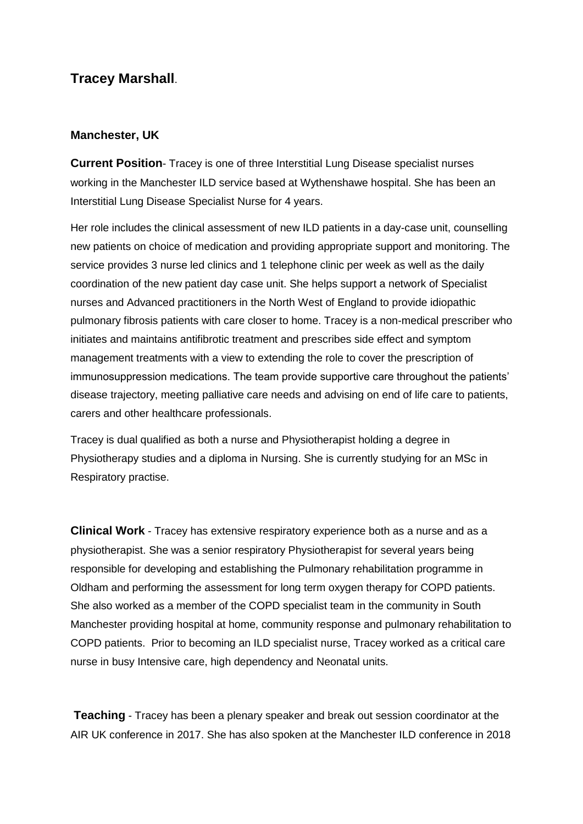## **Tracey Marshall**.

## **Manchester, UK**

**Current Position**- Tracey is one of three Interstitial Lung Disease specialist nurses working in the Manchester ILD service based at Wythenshawe hospital. She has been an Interstitial Lung Disease Specialist Nurse for 4 years.

Her role includes the clinical assessment of new ILD patients in a day-case unit, counselling new patients on choice of medication and providing appropriate support and monitoring. The service provides 3 nurse led clinics and 1 telephone clinic per week as well as the daily coordination of the new patient day case unit. She helps support a network of Specialist nurses and Advanced practitioners in the North West of England to provide idiopathic pulmonary fibrosis patients with care closer to home. Tracey is a non-medical prescriber who initiates and maintains antifibrotic treatment and prescribes side effect and symptom management treatments with a view to extending the role to cover the prescription of immunosuppression medications. The team provide supportive care throughout the patients' disease trajectory, meeting palliative care needs and advising on end of life care to patients, carers and other healthcare professionals.

Tracey is dual qualified as both a nurse and Physiotherapist holding a degree in Physiotherapy studies and a diploma in Nursing. She is currently studying for an MSc in Respiratory practise.

**Clinical Work** - Tracey has extensive respiratory experience both as a nurse and as a physiotherapist. She was a senior respiratory Physiotherapist for several years being responsible for developing and establishing the Pulmonary rehabilitation programme in Oldham and performing the assessment for long term oxygen therapy for COPD patients. She also worked as a member of the COPD specialist team in the community in South Manchester providing hospital at home, community response and pulmonary rehabilitation to COPD patients. Prior to becoming an ILD specialist nurse, Tracey worked as a critical care nurse in busy Intensive care, high dependency and Neonatal units.

**Teaching** - Tracey has been a plenary speaker and break out session coordinator at the AIR UK conference in 2017. She has also spoken at the Manchester ILD conference in 2018